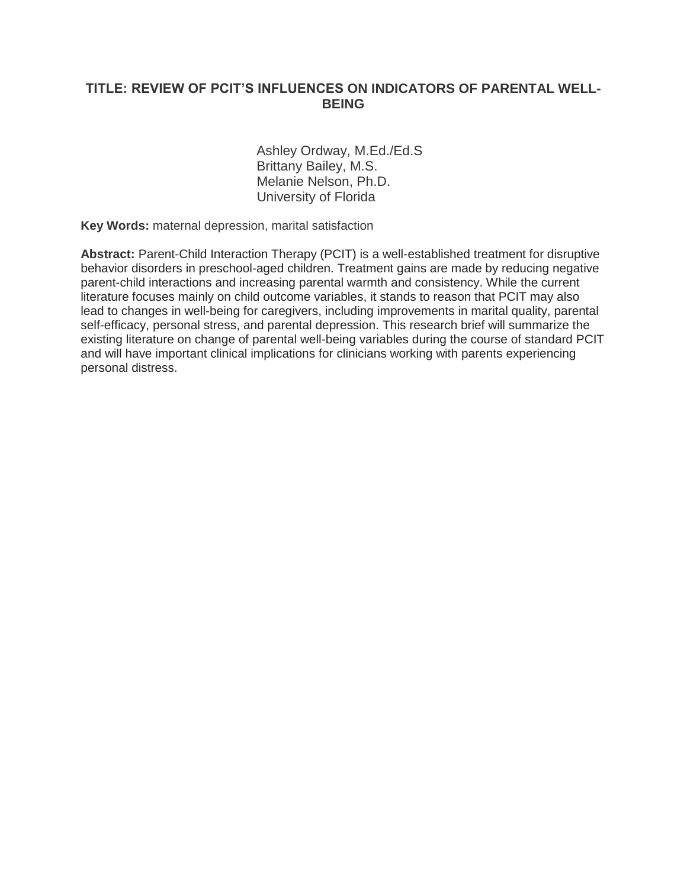# **TITLE: REVIEW OF PCIT'S INFLUENCES ON INDICATORS OF PARENTAL WELL-BEING**

 Ashley Ordway, M.Ed./Ed.S Brittany Bailey, M.S. Melanie Nelson, Ph.D. University of Florida

**Key Words:** maternal depression, marital satisfaction

Abstract: Parent-Child Interaction Therapy (PCIT) is a well-established treatment for disruptive behavior disorders in preschool-aged children. Treatment gains are made by reducing negative parent-child interactions and increasing parental warmth and consistency. While the current literature focuses mainly on child outcome variables, it stands to reason that PCIT may also lead to changes in well-being for caregivers, including improvements in marital quality, parental self-efficacy, personal stress, and parental depression. This research brief will summarize the existing literature on change of parental well-being variables during the course of standard PCIT and will have important clinical implications for clinicians working with parents experiencing personal distress.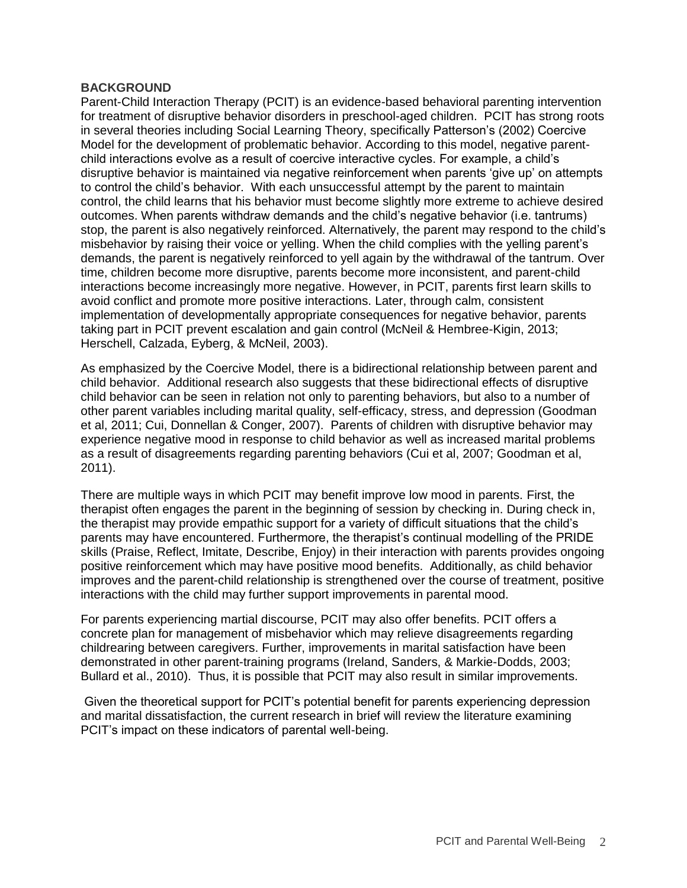#### **BACKGROUND**

Parent-Child Interaction Therapy (PCIT) is an evidence-based behavioral parenting intervention for treatment of disruptive behavior disorders in preschool-aged children. PCIT has strong roots in several theories including Social Learning Theory, specifically Patterson's (2002) Coercive Model for the development of problematic behavior. According to this model, negative parentchild interactions evolve as a result of coercive interactive cycles. For example, a child's disruptive behavior is maintained via negative reinforcement when parents 'give up' on attempts to control the child's behavior. With each unsuccessful attempt by the parent to maintain control, the child learns that his behavior must become slightly more extreme to achieve desired outcomes. When parents withdraw demands and the child's negative behavior (i.e. tantrums) stop, the parent is also negatively reinforced. Alternatively, the parent may respond to the child's misbehavior by raising their voice or yelling. When the child complies with the yelling parent's demands, the parent is negatively reinforced to yell again by the withdrawal of the tantrum. Over time, children become more disruptive, parents become more inconsistent, and parent-child interactions become increasingly more negative. However, in PCIT, parents first learn skills to avoid conflict and promote more positive interactions. Later, through calm, consistent implementation of developmentally appropriate consequences for negative behavior, parents taking part in PCIT prevent escalation and gain control (McNeil & Hembree-Kigin, 2013; Herschell, Calzada, Eyberg, & McNeil, 2003).

As emphasized by the Coercive Model, there is a bidirectional relationship between parent and child behavior. Additional research also suggests that these bidirectional effects of disruptive child behavior can be seen in relation not only to parenting behaviors, but also to a number of other parent variables including marital quality, self-efficacy, stress, and depression (Goodman et al, 2011; Cui, Donnellan & Conger, 2007). Parents of children with disruptive behavior may experience negative mood in response to child behavior as well as increased marital problems as a result of disagreements regarding parenting behaviors (Cui et al, 2007; Goodman et al, 2011).

There are multiple ways in which PCIT may benefit improve low mood in parents. First, the therapist often engages the parent in the beginning of session by checking in. During check in, the therapist may provide empathic support for a variety of difficult situations that the child's parents may have encountered. Furthermore, the therapist's continual modelling of the PRIDE skills (Praise, Reflect, Imitate, Describe, Enjoy) in their interaction with parents provides ongoing positive reinforcement which may have positive mood benefits. Additionally, as child behavior improves and the parent-child relationship is strengthened over the course of treatment, positive interactions with the child may further support improvements in parental mood.

For parents experiencing martial discourse, PCIT may also offer benefits. PCIT offers a concrete plan for management of misbehavior which may relieve disagreements regarding childrearing between caregivers. Further, improvements in marital satisfaction have been demonstrated in other parent-training programs (Ireland, Sanders, & Markie-Dodds, 2003; Bullard et al., 2010). Thus, it is possible that PCIT may also result in similar improvements.

Given the theoretical support for PCIT's potential benefit for parents experiencing depression and marital dissatisfaction, the current research in brief will review the literature examining PCIT's impact on these indicators of parental well-being.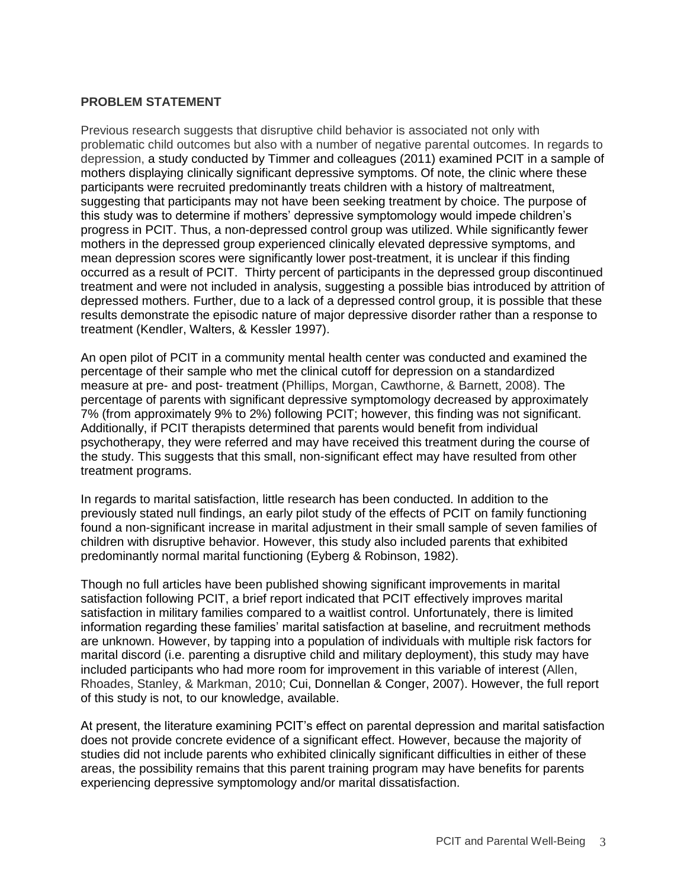### **PROBLEM STATEMENT**

Previous research suggests that disruptive child behavior is associated not only with problematic child outcomes but also with a number of negative parental outcomes. In regards to depression, a study conducted by Timmer and colleagues (2011) examined PCIT in a sample of mothers displaying clinically significant depressive symptoms. Of note, the clinic where these participants were recruited predominantly treats children with a history of maltreatment, suggesting that participants may not have been seeking treatment by choice. The purpose of this study was to determine if mothers' depressive symptomology would impede children's progress in PCIT. Thus, a non-depressed control group was utilized. While significantly fewer mothers in the depressed group experienced clinically elevated depressive symptoms, and mean depression scores were significantly lower post-treatment, it is unclear if this finding occurred as a result of PCIT. Thirty percent of participants in the depressed group discontinued treatment and were not included in analysis, suggesting a possible bias introduced by attrition of depressed mothers. Further, due to a lack of a depressed control group, it is possible that these results demonstrate the episodic nature of major depressive disorder rather than a response to treatment (Kendler, Walters, & Kessler 1997).

An open pilot of PCIT in a community mental health center was conducted and examined the percentage of their sample who met the clinical cutoff for depression on a standardized measure at pre- and post- treatment (Phillips, Morgan, Cawthorne, & Barnett, 2008). The percentage of parents with significant depressive symptomology decreased by approximately 7% (from approximately 9% to 2%) following PCIT; however, this finding was not significant. Additionally, if PCIT therapists determined that parents would benefit from individual psychotherapy, they were referred and may have received this treatment during the course of the study. This suggests that this small, non-significant effect may have resulted from other treatment programs.

In regards to marital satisfaction, little research has been conducted. In addition to the previously stated null findings, an early pilot study of the effects of PCIT on family functioning found a non-significant increase in marital adjustment in their small sample of seven families of children with disruptive behavior. However, this study also included parents that exhibited predominantly normal marital functioning (Eyberg & Robinson, 1982).

Though no full articles have been published showing significant improvements in marital satisfaction following PCIT, a brief report indicated that PCIT effectively improves marital satisfaction in military families compared to a waitlist control. Unfortunately, there is limited information regarding these families' marital satisfaction at baseline, and recruitment methods are unknown. However, by tapping into a population of individuals with multiple risk factors for marital discord (i.e. parenting a disruptive child and military deployment), this study may have included participants who had more room for improvement in this variable of interest (Allen, Rhoades, Stanley, & Markman, 2010; Cui, Donnellan & Conger, 2007). However, the full report of this study is not, to our knowledge, available.

At present, the literature examining PCIT's effect on parental depression and marital satisfaction does not provide concrete evidence of a significant effect. However, because the majority of studies did not include parents who exhibited clinically significant difficulties in either of these areas, the possibility remains that this parent training program may have benefits for parents experiencing depressive symptomology and/or marital dissatisfaction.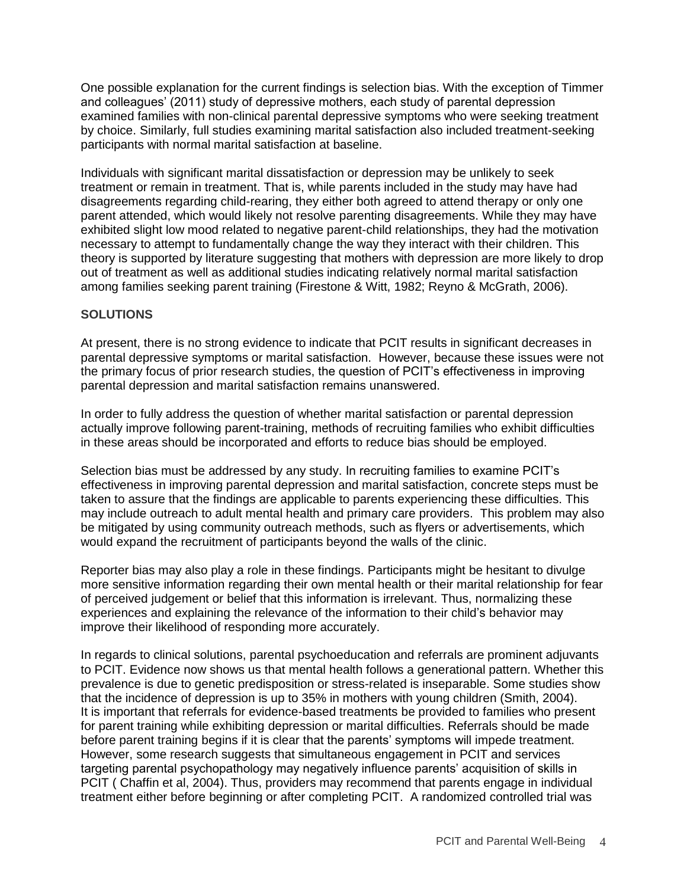One possible explanation for the current findings is selection bias. With the exception of Timmer and colleagues' (2011) study of depressive mothers, each study of parental depression examined families with non-clinical parental depressive symptoms who were seeking treatment by choice. Similarly, full studies examining marital satisfaction also included treatment-seeking participants with normal marital satisfaction at baseline.

Individuals with significant marital dissatisfaction or depression may be unlikely to seek treatment or remain in treatment. That is, while parents included in the study may have had disagreements regarding child-rearing, they either both agreed to attend therapy or only one parent attended, which would likely not resolve parenting disagreements. While they may have exhibited slight low mood related to negative parent-child relationships, they had the motivation necessary to attempt to fundamentally change the way they interact with their children. This theory is supported by literature suggesting that mothers with depression are more likely to drop out of treatment as well as additional studies indicating relatively normal marital satisfaction among families seeking parent training (Firestone & Witt, 1982; Reyno & McGrath, 2006).

# **SOLUTIONS**

At present, there is no strong evidence to indicate that PCIT results in significant decreases in parental depressive symptoms or marital satisfaction. However, because these issues were not the primary focus of prior research studies, the question of PCIT's effectiveness in improving parental depression and marital satisfaction remains unanswered.

In order to fully address the question of whether marital satisfaction or parental depression actually improve following parent-training, methods of recruiting families who exhibit difficulties in these areas should be incorporated and efforts to reduce bias should be employed.

Selection bias must be addressed by any study. In recruiting families to examine PCIT's effectiveness in improving parental depression and marital satisfaction, concrete steps must be taken to assure that the findings are applicable to parents experiencing these difficulties. This may include outreach to adult mental health and primary care providers. This problem may also be mitigated by using community outreach methods, such as flyers or advertisements, which would expand the recruitment of participants beyond the walls of the clinic.

Reporter bias may also play a role in these findings. Participants might be hesitant to divulge more sensitive information regarding their own mental health or their marital relationship for fear of perceived judgement or belief that this information is irrelevant. Thus, normalizing these experiences and explaining the relevance of the information to their child's behavior may improve their likelihood of responding more accurately.

In regards to clinical solutions, parental psychoeducation and referrals are prominent adjuvants to PCIT. Evidence now shows us that mental health follows a generational pattern. Whether this prevalence is due to genetic predisposition or stress-related is inseparable. Some studies show that the incidence of depression is up to 35% in mothers with young children (Smith, 2004). It is important that referrals for evidence-based treatments be provided to families who present for parent training while exhibiting depression or marital difficulties. Referrals should be made before parent training begins if it is clear that the parents' symptoms will impede treatment. However, some research suggests that simultaneous engagement in PCIT and services targeting parental psychopathology may negatively influence parents' acquisition of skills in PCIT ( Chaffin et al, 2004). Thus, providers may recommend that parents engage in individual treatment either before beginning or after completing PCIT. A randomized controlled trial was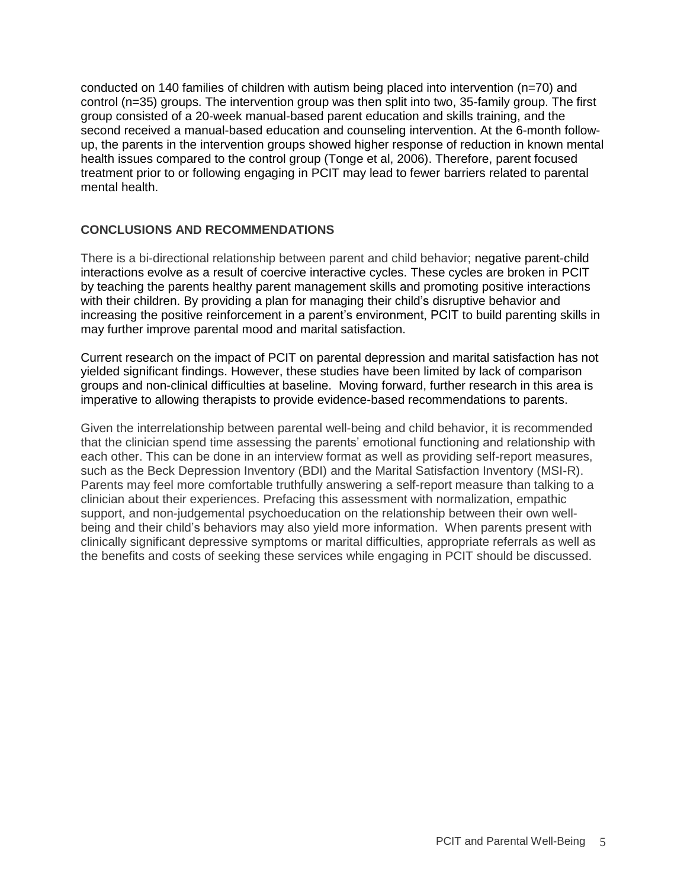conducted on 140 families of children with autism being placed into intervention (n=70) and control (n=35) groups. The intervention group was then split into two, 35-family group. The first group consisted of a 20-week manual-based parent education and skills training, and the second received a manual-based education and counseling intervention. At the 6-month followup, the parents in the intervention groups showed higher response of reduction in known mental health issues compared to the control group (Tonge et al, 2006). Therefore, parent focused treatment prior to or following engaging in PCIT may lead to fewer barriers related to parental mental health.

# **CONCLUSIONS AND RECOMMENDATIONS**

There is a bi-directional relationship between parent and child behavior; negative parent-child interactions evolve as a result of coercive interactive cycles. These cycles are broken in PCIT by teaching the parents healthy parent management skills and promoting positive interactions with their children. By providing a plan for managing their child's disruptive behavior and increasing the positive reinforcement in a parent's environment, PCIT to build parenting skills in may further improve parental mood and marital satisfaction.

Current research on the impact of PCIT on parental depression and marital satisfaction has not yielded significant findings. However, these studies have been limited by lack of comparison groups and non-clinical difficulties at baseline. Moving forward, further research in this area is imperative to allowing therapists to provide evidence-based recommendations to parents.

Given the interrelationship between parental well-being and child behavior, it is recommended that the clinician spend time assessing the parents' emotional functioning and relationship with each other. This can be done in an interview format as well as providing self-report measures, such as the Beck Depression Inventory (BDI) and the Marital Satisfaction Inventory (MSI-R). Parents may feel more comfortable truthfully answering a self-report measure than talking to a clinician about their experiences. Prefacing this assessment with normalization, empathic support, and non-judgemental psychoeducation on the relationship between their own wellbeing and their child's behaviors may also yield more information. When parents present with clinically significant depressive symptoms or marital difficulties, appropriate referrals as well as the benefits and costs of seeking these services while engaging in PCIT should be discussed.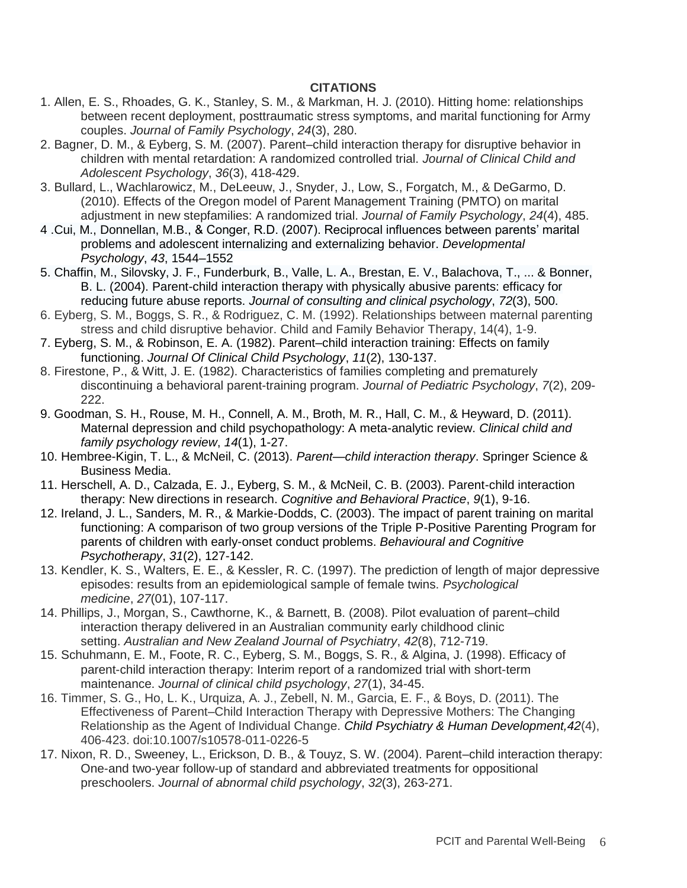### **CITATIONS**

- 1. Allen, E. S., Rhoades, G. K., Stanley, S. M., & Markman, H. J. (2010). Hitting home: relationships between recent deployment, posttraumatic stress symptoms, and marital functioning for Army couples. *Journal of Family Psychology*, *24*(3), 280.
- 2. Bagner, D. M., & Eyberg, S. M. (2007). Parent–child interaction therapy for disruptive behavior in children with mental retardation: A randomized controlled trial. *Journal of Clinical Child and Adolescent Psychology*, *36*(3), 418-429.
- 3. Bullard, L., Wachlarowicz, M., DeLeeuw, J., Snyder, J., Low, S., Forgatch, M., & DeGarmo, D. (2010). Effects of the Oregon model of Parent Management Training (PMTO) on marital adjustment in new stepfamilies: A randomized trial. *Journal of Family Psychology*, *24*(4), 485.
- 4 .Cui, M., Donnellan, M.B., & Conger, R.D. (2007). Reciprocal influences between parents' marital problems and adolescent internalizing and externalizing behavior. *Developmental Psychology*, *43*, 1544–1552
- 5. Chaffin, M., Silovsky, J. F., Funderburk, B., Valle, L. A., Brestan, E. V., Balachova, T., ... & Bonner, B. L. (2004). Parent-child interaction therapy with physically abusive parents: efficacy for reducing future abuse reports. *Journal of consulting and clinical psychology*, *72*(3), 500.
- 6. Eyberg, S. M., Boggs, S. R., & Rodriguez, C. M. (1992). Relationships between maternal parenting stress and child disruptive behavior. Child and Family Behavior Therapy, 14(4), 1-9.
- 7. Eyberg, S. M., & Robinson, E. A. (1982). Parent–child interaction training: Effects on family functioning. *Journal Of Clinical Child Psychology*, *11*(2), 130-137.
- 8. Firestone, P., & Witt, J. E. (1982). Characteristics of families completing and prematurely discontinuing a behavioral parent-training program. *Journal of Pediatric Psychology*, *7*(2), 209- 222.
- 9. Goodman, S. H., Rouse, M. H., Connell, A. M., Broth, M. R., Hall, C. M., & Heyward, D. (2011). Maternal depression and child psychopathology: A meta-analytic review. *Clinical child and family psychology review*, *14*(1), 1-27.
- 10. Hembree-Kigin, T. L., & McNeil, C. (2013). *Parent—child interaction therapy*. Springer Science & Business Media.
- 11. Herschell, A. D., Calzada, E. J., Eyberg, S. M., & McNeil, C. B. (2003). Parent-child interaction therapy: New directions in research. *Cognitive and Behavioral Practice*, *9*(1), 9-16.
- 12. Ireland, J. L., Sanders, M. R., & Markie-Dodds, C. (2003). The impact of parent training on marital functioning: A comparison of two group versions of the Triple P-Positive Parenting Program for parents of children with early-onset conduct problems. *Behavioural and Cognitive Psychotherapy*, *31*(2), 127-142.
- 13. Kendler, K. S., Walters, E. E., & Kessler, R. C. (1997). The prediction of length of major depressive episodes: results from an epidemiological sample of female twins. *Psychological medicine*, *27*(01), 107-117.
- 14. Phillips, J., Morgan, S., Cawthorne, K., & Barnett, B. (2008). Pilot evaluation of parent–child interaction therapy delivered in an Australian community early childhood clinic setting. *Australian and New Zealand Journal of Psychiatry*, *42*(8), 712-719.
- 15. Schuhmann, E. M., Foote, R. C., Eyberg, S. M., Boggs, S. R., & Algina, J. (1998). Efficacy of parent-child interaction therapy: Interim report of a randomized trial with short-term maintenance. *Journal of clinical child psychology*, *27*(1), 34-45.
- 16. Timmer, S. G., Ho, L. K., Urquiza, A. J., Zebell, N. M., Garcia, E. F., & Boys, D. (2011). The Effectiveness of Parent–Child Interaction Therapy with Depressive Mothers: The Changing Relationship as the Agent of Individual Change. *Child Psychiatry & Human Development,42*(4), 406-423. doi:10.1007/s10578-011-0226-5
- 17. Nixon, R. D., Sweeney, L., Erickson, D. B., & Touyz, S. W. (2004). Parent–child interaction therapy: One-and two-year follow-up of standard and abbreviated treatments for oppositional preschoolers. *Journal of abnormal child psychology*, *32*(3), 263-271.